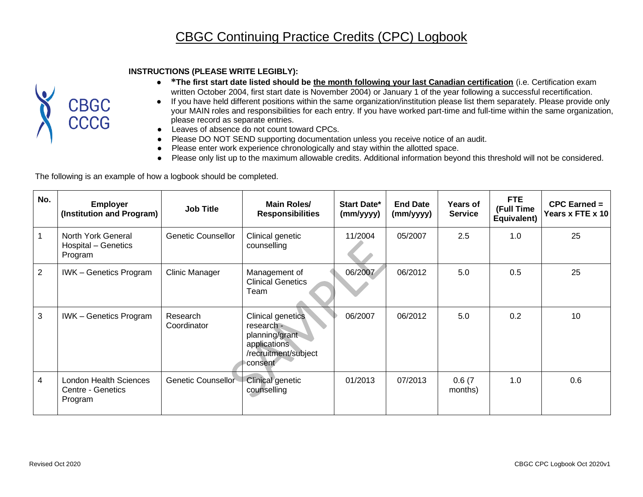## **INSTRUCTIONS (PLEASE WRITE LEGIBLY):**



- **\*The first start date listed should be the month following your last Canadian certification** (i.e. Certification exam written October 2004, first start date is November 2004) or January 1 of the year following a successful recertification.
- If you have held different positions within the same organization/institution please list them separately. Please provide only your MAIN roles and responsibilities for each entry. If you have worked part-time and full-time within the same organization, please record as separate entries.
- Leaves of absence do not count toward CPCs.
- Please DO NOT SEND supporting documentation unless you receive notice of an audit.
- Please enter work experience chronologically and stay within the allotted space.
- Please only list up to the maximum allowable credits. Additional information beyond this threshold will not be considered.

The following is an example of how a logbook should be completed.

| No.            | <b>Employer</b><br>(Institution and Program)           | <b>Job Title</b>        | Main Roles/<br><b>Responsibilities</b>                                                               | Start Date*<br>(mm/yyyy) | <b>End Date</b><br>(mm/yyyy) | <b>Years of</b><br><b>Service</b> | <b>FTE</b><br>(Full Time<br>Equivalent) | $CPC$ Earned $=$<br>Years x FTE x 10 |
|----------------|--------------------------------------------------------|-------------------------|------------------------------------------------------------------------------------------------------|--------------------------|------------------------------|-----------------------------------|-----------------------------------------|--------------------------------------|
|                | North York General<br>Hospital - Genetics<br>Program   | Genetic Counsellor      | Clinical genetic<br>counselling                                                                      | 11/2004                  | 05/2007                      | 2.5                               | 1.0                                     | 25                                   |
| $\overline{2}$ | <b>IWK-Genetics Program</b>                            | Clinic Manager          | Management of<br><b>Clinical Genetics</b><br>Team                                                    | 06/2007                  | 06/2012                      | 5.0                               | 0.5                                     | 25                                   |
| 3              | <b>IWK</b> – Genetics Program                          | Research<br>Coordinator | Clinical genetics<br>research -<br>planning/grant<br>applications<br>/recruitment/subject<br>consent | 06/2007                  | 06/2012                      | 5.0                               | 0.2                                     | 10                                   |
| 4              | London Health Sciences<br>Centre - Genetics<br>Program | Genetic Counsellor      | Clinical genetic<br>counselling                                                                      | 01/2013                  | 07/2013                      | 0.6(7)<br>months)                 | 1.0                                     | 0.6                                  |